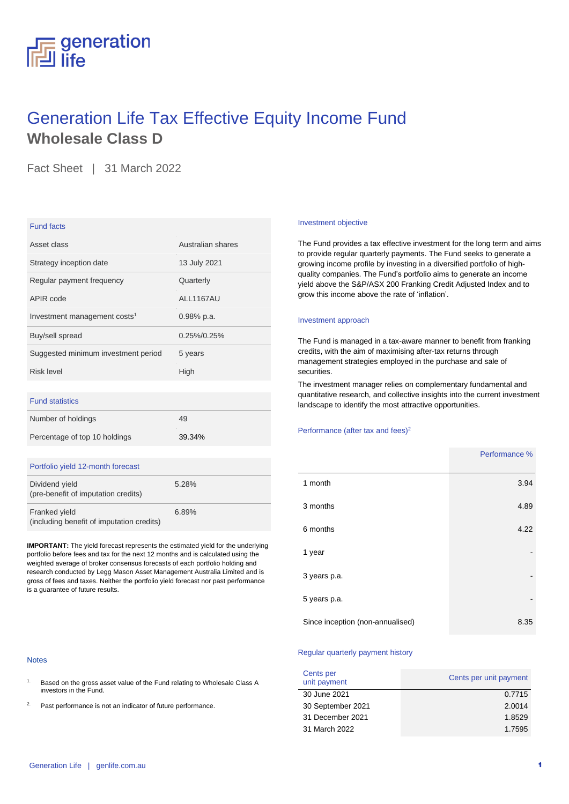# generation All life

## Generation Life Tax Effective Equity Income Fund **Wholesale Class D**

Fact Sheet | 31 March 2022

### Fund facts

| Asset class                              | Australian shares |
|------------------------------------------|-------------------|
| Strategy inception date                  | 13 July 2021      |
| Regular payment frequency                | Quarterly         |
| APIR code                                | ALL1167AU         |
| Investment management costs <sup>1</sup> | $0.98\%$ p.a.     |
| Buy/sell spread                          | 0.25%/0.25%       |
| Suggested minimum investment period      | 5 years           |
| Risk level                               | High              |
|                                          |                   |
|                                          |                   |

### Fund statistics

| Number of holdings            | 49     |
|-------------------------------|--------|
| Percentage of top 10 holdings | 39.34% |

### Portfolio yield 12-month forecast

| Dividend yield<br>(pre-benefit of imputation credits)      | 5.28% |
|------------------------------------------------------------|-------|
| Franked yield<br>(including benefit of imputation credits) | 6.89% |

**IMPORTANT:** The yield forecast represents the estimated yield for the underlying portfolio before fees and tax for the next 12 months and is calculated using the weighted average of broker consensus forecasts of each portfolio holding and research conducted by Legg Mason Asset Management Australia Limited and is gross of fees and taxes. Neither the portfolio yield forecast nor past performance is a guarantee of future results.

#### Notes

- <sup>1.</sup> Based on the gross asset value of the Fund relating to Wholesale Class A investors in the Fund.
- 2. Past performance is not an indicator of future performance.

#### Investment objective

The Fund provides a tax effective investment for the long term and aims to provide regular quarterly payments. The Fund seeks to generate a growing income profile by investing in a diversified portfolio of highquality companies. The Fund's portfolio aims to generate an income yield above the S&P/ASX 200 Franking Credit Adjusted Index and to grow this income above the rate of 'inflation'.

### Investment approach

The Fund is managed in a tax-aware manner to benefit from franking credits, with the aim of maximising after-tax returns through management strategies employed in the purchase and sale of securities.

The investment manager relies on complementary fundamental and quantitative research, and collective insights into the current investment landscape to identify the most attractive opportunities.

### Performance (after tax and fees)<sup>2</sup>

|                                  | Performance % |
|----------------------------------|---------------|
| 1 month                          | 3.94          |
| 3 months                         | 4.89          |
| 6 months                         | 4.22          |
| 1 year                           |               |
| 3 years p.a.                     |               |
| 5 years p.a.                     |               |
| Since inception (non-annualised) | 8.35          |

### Regular quarterly payment history

| Cents per<br>unit payment | Cents per unit payment |
|---------------------------|------------------------|
| 30 June 2021              | 0.7715                 |
| 30 September 2021         | 2.0014                 |
| 31 December 2021          | 1.8529                 |
| 31 March 2022             | 1.7595                 |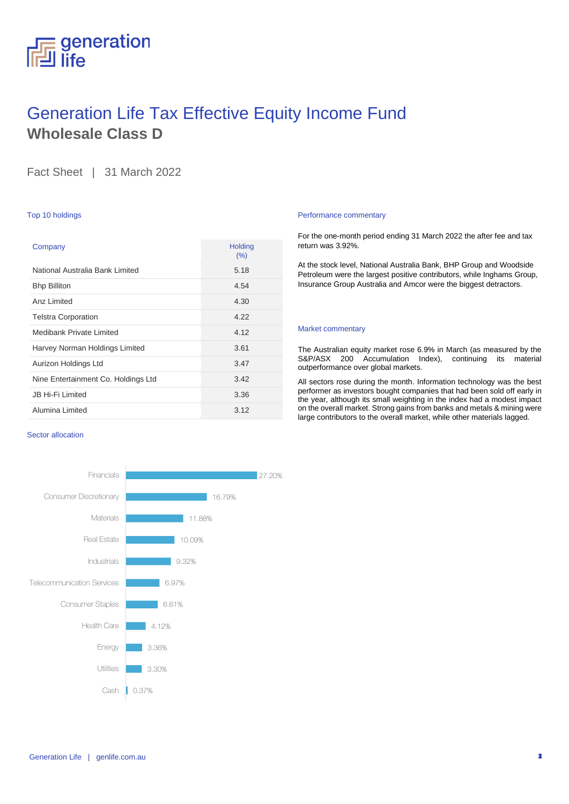### generation life

## Generation Life Tax Effective Equity Income Fund **Wholesale Class D**

Fact Sheet | 31 March 2022

### Top 10 holdings

| Company                             | <b>Holding</b><br>(%) |
|-------------------------------------|-----------------------|
| National Australia Bank Limited     | 5.18                  |
| <b>Bhp Billiton</b>                 | 4.54                  |
| Anz I imited                        | 4.30                  |
| <b>Telstra Corporation</b>          | 4.22                  |
| Medibank Private Limited            | 4.12                  |
| Harvey Norman Holdings Limited      | 3.61                  |
| Aurizon Holdings Ltd                | 3.47                  |
| Nine Entertainment Co. Holdings Ltd | 3.42                  |
| <b>JB Hi-Fi Limited</b>             | 3.36                  |
| Alumina Limited                     | 3.12                  |

### Sector allocation



### Performance commentary

For the one-month period ending 31 March 2022 the after fee and tax return was 3.92%.

At the stock level, National Australia Bank, BHP Group and Woodside Petroleum were the largest positive contributors, while Inghams Group, Insurance Group Australia and Amcor were the biggest detractors.

### Market commentary

The Australian equity market rose 6.9% in March (as measured by the S&P/ASX 200 Accumulation Index), continuing its material outperformance over global markets.

All sectors rose during the month. Information technology was the best performer as investors bought companies that had been sold off early in the year, although its small weighting in the index had a modest impact on the overall market. Strong gains from banks and metals & mining were large contributors to the overall market, while other materials lagged.